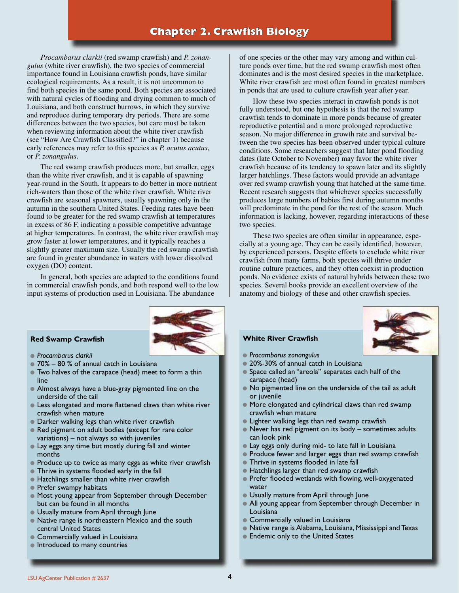# **Chapter 2. Crawfish Biology**

*Procambarus clarkii* (red swamp crawfish) and *P. zonangulus* (white river crawfish), the two species of commercial importance found in Louisiana crawfish ponds, have similar ecological requirements. As a result, it is not uncommon to find both species in the same pond. Both species are associated with natural cycles of flooding and drying common to much of Louisiana, and both construct burrows, in which they survive and reproduce during temporary dry periods. There are some differences between the two species, but care must be taken when reviewing information about the white river crawfish (see "How Are Crawfish Classified?" in chapter 1) because early references may refer to this species as *P. acutus acutus*, or *P. zonangulus*.

The red swamp crawfish produces more, but smaller, eggs than the white river crawfish, and it is capable of spawning year-round in the South. It appears to do better in more nutrient rich-waters than those of the white river crawfish. White river crawfish are seasonal spawners, usually spawning only in the autumn in the southern United States. Feeding rates have been found to be greater for the red swamp crawfish at temperatures in excess of 86 F, indicating a possible competitive advantage at higher temperatures. In contrast, the white river crawfish may grow faster at lower temperatures, and it typically reaches a slightly greater maximum size. Usually the red swamp crawfish are found in greater abundance in waters with lower dissolved oxygen (DO) content.

In general, both species are adapted to the conditions found in commercial crawfish ponds, and both respond well to the low input systems of production used in Louisiana. The abundance



#### **Red Swamp Crawfish**

- *Procambarus clarkii*
- 70% 80 % of annual catch in Louisiana
- Two halves of the carapace (head) meet to form a thin line
- Almost always have a blue-gray pigmented line on the underside of the tail
- **Execute Less elongated and more flattened claws than white river** crawfish when mature
- **Darker walking legs than white river crawfish**
- Red pigment on adult bodies (except for rare color variations) – not always so with juveniles
- Lay eggs any time but mostly during fall and winter months
- Produce up to twice as many eggs as white river crawfish
- **Thrive in systems flooded early in the fall**
- **Hatchlings smaller than white river crawfish**
- **Prefer swampy habitats**
- $\bullet$  Most young appear from September through December but can be found in all months
- Usually mature from April through June
- Native range is northeastern Mexico and the south central United States
- **Commercially valued in Louisiana**
- $\bullet$  Introduced to many countries

of one species or the other may vary among and within culture ponds over time, but the red swamp crawfish most often dominates and is the most desired species in the marketplace. White river crawfish are most often found in greatest numbers in ponds that are used to culture crawfish year after year.

How these two species interact in crawfish ponds is not fully understood, but one hypothesis is that the red swamp crawfish tends to dominate in more ponds because of greater reproductive potential and a more prolonged reproductive season. No major difference in growth rate and survival between the two species has been observed under typical culture conditions. Some researchers suggest that later pond flooding dates (late October to November) may favor the white river crawfish because of its tendency to spawn later and its slightly larger hatchlings. These factors would provide an advantage over red swamp crawfish young that hatched at the same time. Recent research suggests that whichever species successfully produces large numbers of babies first during autumn months will predominate in the pond for the rest of the season. Much information is lacking, however, regarding interactions of these two species.

These two species are often similar in appearance, especially at a young age. They can be easily identified, however, by experienced persons. Despite efforts to exclude white river crawfish from many farms, both species will thrive under routine culture practices, and they often coexist in production ponds. No evidence exists of natural hybrids between these two species. Several books provide an excellent overview of the anatomy and biology of these and other crawfish species.



# **White River Crawfish**

- *Procambarus zonangulus*
- 20%-30% of annual catch in Louisiana
- Space called an "areola" separates each half of the carapace (head)
- No pigmented line on the underside of the tail as adult or juvenile
- More elongated and cylindrical claws than red swamp crawfish when mature
- Lighter walking legs than red swamp crawfish
- Never has red pigment on its body sometimes adults can look pink
- Lay eggs only during mid- to late fall in Louisiana
- Produce fewer and larger eggs than red swamp crawfish
- **Thrive in systems flooded in late fall**
- Hatchlings larger than red swamp crawfish
- Prefer flooded wetlands with flowing, well-oxygenated water
- **Usually mature from April through June**
- All young appear from September through December in Louisiana
- **Commercially valued in Louisiana**
- Native range is Alabama, Louisiana, Mississippi and Texas
- **Endemic only to the United States**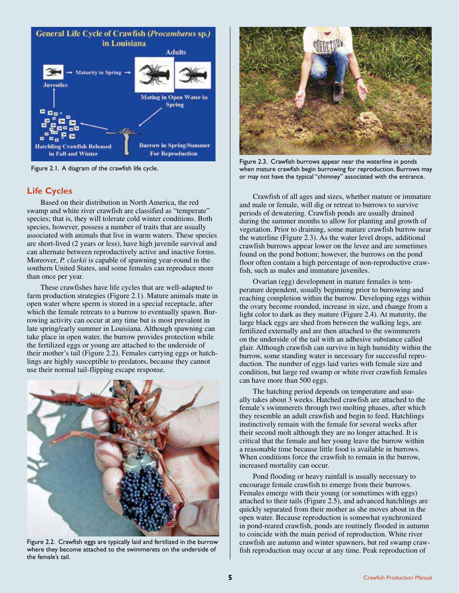

Figure 2.1. A diagram of the crawfish life cycle.

# **Life Cycles**

Based on their distribution in North America, the red swamp and white river crawfish are classified as "temperate" species; that is, they will tolerate cold winter conditions. Both species, however, possess a number of traits that are usually associated with animals that live in warm waters. These species are short-lived (2 years or less), have high juvenile survival and can alternate between reproductively active and inactive forms. Moreover, *P. clarkii* is capable of spawning year-round in the southern United States, and some females can reproduce more than once per year.

These crawfishes have life cycles that are well-adapted to farm production strategies (Figure 2.1). Mature animals mate in open water where sperm is stored in a special receptacle, after which the female retreats to a burrow to eventually spawn. Burrowing activity can occur at any time but is most prevalent in late spring/early summer in Louisiana. Although spawning can take place in open water, the burrow provides protection while the fertilized eggs or young are attached to the underside of their mother's tail (Figure 2.2). Females carrying eggs or hatchlings are highly susceptible to predators, because they cannot use their normal tail-flipping escape response.



Figure 2.2. Crawfish eggs are typically laid and fertilized in the burrow where they become attached to the swimmerets on the underside of the female's tail.



Figure 2.3. Crawfish burrows appear near the waterline in ponds when mature crawfish begin burrowing for reproduction. Burrows may or may not have the typical "chimney" associated with the entrance.

Crawfish of all ages and sizes, whether mature or immature and male or female, will dig or retreat to burrows to survive periods of dewatering. Crawfish ponds are usually drained during the summer months to allow for planting and growth of vegetation. Prior to draining, some mature crawfish burrow near the waterline (Figure 2.3). As the water level drops, additional crawfish burrows appear lower on the levee and are sometimes found on the pond bottom; however, the burrows on the pond floor often contain a high percentage of non-reproductive crawfish, such as males and immature juveniles.

Ovarian (egg) development in mature females is temperature dependent, usually beginning prior to burrowing and reaching completion within the burrow. Developing eggs within the ovary become rounded, increase in size, and change from a light color to dark as they mature (Figure 2.4). At maturity, the large black eggs are shed from between the walking legs, are fertilized externally and are then attached to the swimmerets on the underside of the tail with an adhesive substance called glair. Although crawfish can survive in high humidity within the burrow, some standing water is necessary for successful reproduction. The number of eggs laid varies with female size and condition, but large red swamp or white river crawfish females can have more than 500 eggs.

The hatching period depends on temperature and usually takes about 3 weeks. Hatched crawfish are attached to the female's swimmerets through two molting phases, after which they resemble an adult crawfish and begin to feed. Hatchlings instinctively remain with the female for several weeks after their second molt although they are no longer attached. It is critical that the female and her young leave the burrow within a reasonable time because little food is available in burrows. When conditions force the crawfish to remain in the burrow, increased mortality can occur.

Pond flooding or heavy rainfall is usually necessary to encourage female crawfish to emerge from their burrows. Females emerge with their young (or sometimes with eggs) attached to their tails (Figure 2.5), and advanced hatchlings are quickly separated from their mother as she moves about in the open water. Because reproduction is somewhat synchronized in pond-reared crawfish, ponds are routinely flooded in autumn to coincide with the main period of reproduction. White river crawfish are autumn and winter spawners, but red swamp crawfish reproduction may occur at any time. Peak reproduction of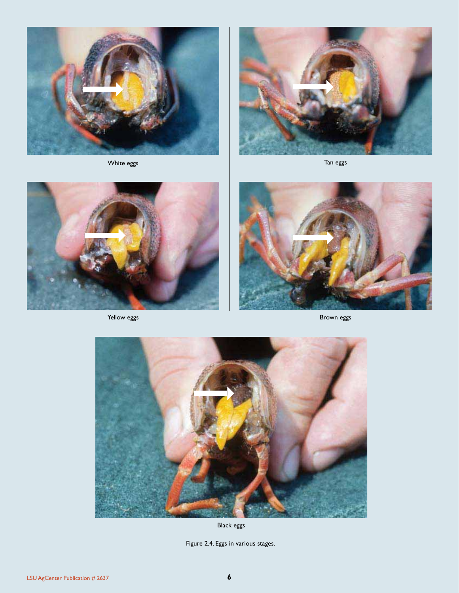





Yellow eggs



Brown eggs



Black eggs

Figure 2.4. Eggs in various stages.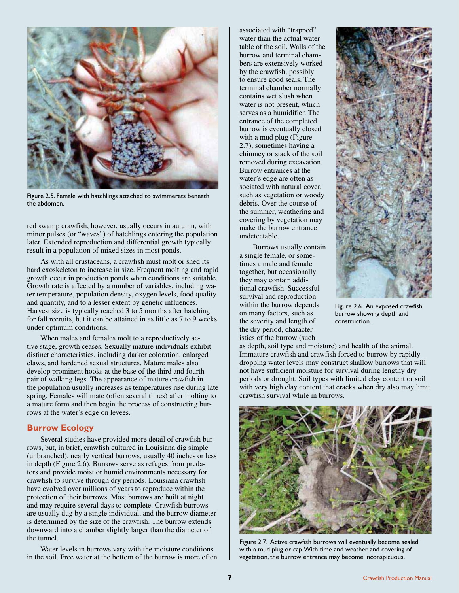

Figure 2.5. Female with hatchlings attached to swimmerets beneath the abdomen.

red swamp crawfish, however, usually occurs in autumn, with minor pulses (or "waves") of hatchlings entering the population later. Extended reproduction and differential growth typically result in a population of mixed sizes in most ponds.

As with all crustaceans, a crawfish must molt or shed its hard exoskeleton to increase in size. Frequent molting and rapid growth occur in production ponds when conditions are suitable. Growth rate is affected by a number of variables, including water temperature, population density, oxygen levels, food quality and quantity, and to a lesser extent by genetic influences. Harvest size is typically reached 3 to 5 months after hatching for fall recruits, but it can be attained in as little as 7 to 9 weeks under optimum conditions.

When males and females molt to a reproductively active stage, growth ceases. Sexually mature individuals exhibit distinct characteristics, including darker coloration, enlarged claws, and hardened sexual structures. Mature males also develop prominent hooks at the base of the third and fourth pair of walking legs. The appearance of mature crawfish in the population usually increases as temperatures rise during late spring. Females will mate (often several times) after molting to a mature form and then begin the process of constructing burrows at the water's edge on levees.

## **Burrow Ecology**

Several studies have provided more detail of crawfish burrows, but, in brief, crawfish cultured in Louisiana dig simple (unbranched), nearly vertical burrows, usually 40 inches or less in depth (Figure 2.6). Burrows serve as refuges from predators and provide moist or humid environments necessary for crawfish to survive through dry periods. Louisiana crawfish have evolved over millions of years to reproduce within the protection of their burrows. Most burrows are built at night and may require several days to complete. Crawfish burrows are usually dug by a single individual, and the burrow diameter is determined by the size of the crawfish. The burrow extends downward into a chamber slightly larger than the diameter of the tunnel.

Water levels in burrows vary with the moisture conditions in the soil. Free water at the bottom of the burrow is more often

associated with "trapped" water than the actual water table of the soil. Walls of the burrow and terminal chambers are extensively worked by the crawfish, possibly to ensure good seals. The terminal chamber normally contains wet slush when water is not present, which serves as a humidifier. The entrance of the completed burrow is eventually closed with a mud plug (Figure 2.7), sometimes having a chimney or stack of the soil removed during excavation. Burrow entrances at the water's edge are often associated with natural cover, such as vegetation or woody debris. Over the course of the summer, weathering and covering by vegetation may make the burrow entrance undetectable.

Burrows usually contain a single female, or sometimes a male and female together, but occasionally they may contain additional crawfish. Successful survival and reproduction within the burrow depends on many factors, such as the severity and length of the dry period, characteristics of the burrow (such



Figure 2.6. An exposed crawfish burrow showing depth and construction.

as depth, soil type and moisture) and health of the animal. Immature crawfish and crawfish forced to burrow by rapidly dropping water levels may construct shallow burrows that will not have sufficient moisture for survival during lengthy dry periods or drought. Soil types with limited clay content or soil with very high clay content that cracks when dry also may limit crawfish survival while in burrows.



Figure 2.7. Active crawfish burrows will eventually become sealed with a mud plug or cap. With time and weather, and covering of vegetation, the burrow entrance may become inconspicuous.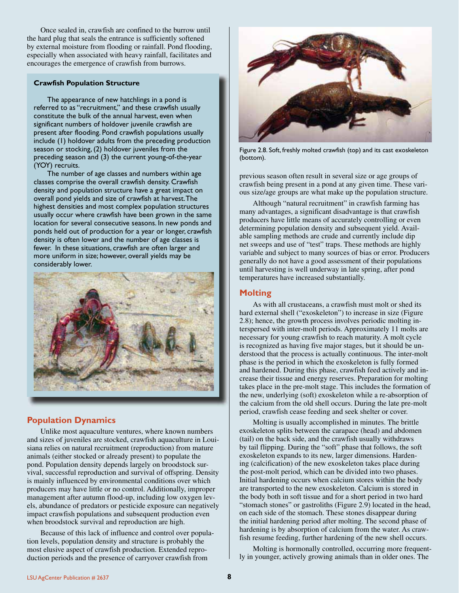Once sealed in, crawfish are confined to the burrow until the hard plug that seals the entrance is sufficiently softened by external moisture from flooding or rainfall. Pond flooding, especially when associated with heavy rainfall, facilitates and encourages the emergence of crawfish from burrows.

#### **Crawfish Population Structure**

The appearance of new hatchlings in a pond is referred to as "recruitment," and these crawfish usually constitute the bulk of the annual harvest, even when significant numbers of holdover juvenile crawfish are present after flooding. Pond crawfish populations usually include (1) holdover adults from the preceding production season or stocking, (2) holdover juveniles from the preceding season and (3) the current young-of-the-year (YOY) recruits.

The number of age classes and numbers within age classes comprise the overall crawfish density. Crawfish density and population structure have a great impact on overall pond yields and size of crawfish at harvest. The highest densities and most complex population structures usually occur where crawfish have been grown in the same location for several consecutive seasons. In new ponds and ponds held out of production for a year or longer, crawfish density is often lower and the number of age classes is fewer. In these situations, crawfish are often larger and more uniform in size; however, overall yields may be considerably lower.



# **Population Dynamics**

Unlike most aquaculture ventures, where known numbers and sizes of juveniles are stocked, crawfish aquaculture in Louisiana relies on natural recruitment (reproduction) from mature animals (either stocked or already present) to populate the pond. Population density depends largely on broodstock survival, successful reproduction and survival of offspring. Density is mainly influenced by environmental conditions over which producers may have little or no control. Additionally, improper management after autumn flood-up, including low oxygen levels, abundance of predators or pesticide exposure can negatively impact crawfish populations and subsequent production even when broodstock survival and reproduction are high.

Because of this lack of influence and control over population levels, population density and structure is probably the most elusive aspect of crawfish production. Extended reproduction periods and the presence of carryover crawfish from



Figure 2.8. Soft, freshly molted crawfish (top) and its cast exoskeleton (bottom).

previous season often result in several size or age groups of crawfish being present in a pond at any given time. These various size/age groups are what make up the population structure.

Although "natural recruitment" in crawfish farming has many advantages, a significant disadvantage is that crawfish producers have little means of accurately controlling or even determining population density and subsequent yield. Available sampling methods are crude and currently include dip net sweeps and use of "test" traps. These methods are highly variable and subject to many sources of bias or error. Producers generally do not have a good assessment of their populations until harvesting is well underway in late spring, after pond temperatures have increased substantially.

# **Molting**

As with all crustaceans, a crawfish must molt or shed its hard external shell ("exoskeleton") to increase in size (Figure 2.8); hence, the growth process involves periodic molting interspersed with inter-molt periods. Approximately 11 molts are necessary for young crawfish to reach maturity. A molt cycle is recognized as having five major stages, but it should be understood that the process is actually continuous. The inter-molt phase is the period in which the exoskeleton is fully formed and hardened. During this phase, crawfish feed actively and increase their tissue and energy reserves. Preparation for molting takes place in the pre-molt stage. This includes the formation of the new, underlying (soft) exoskeleton while a re-absorption of the calcium from the old shell occurs. During the late pre-molt period, crawfish cease feeding and seek shelter or cover.

Molting is usually accomplished in minutes. The brittle exoskeleton splits between the carapace (head) and abdomen (tail) on the back side, and the crawfish usually withdraws by tail flipping. During the "soft" phase that follows, the soft exoskeleton expands to its new, larger dimensions. Hardening (calcification) of the new exoskeleton takes place during the post-molt period, which can be divided into two phases. Initial hardening occurs when calcium stores within the body are transported to the new exoskeleton. Calcium is stored in the body both in soft tissue and for a short period in two hard "stomach stones" or gastroliths (Figure 2.9) located in the head, on each side of the stomach. These stones disappear during the initial hardening period after molting. The second phase of hardening is by absorption of calcium from the water. As crawfish resume feeding, further hardening of the new shell occurs.

Molting is hormonally controlled, occurring more frequently in younger, actively growing animals than in older ones. The